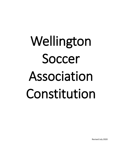# Wellington Soccer Association Constitution

Revised July 2020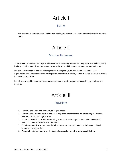# Article I

#### Name

The name of the organization shall be The Wellington Soccer Association herein after referred to as WSA.

# Article II

### Mission Statement

The Association shall govern organized soccer for the Wellington area for the purpose of building mind, body, and self-esteem through sportsmanship, education, skill, teamwork, exercise, and enjoyment.

It is our commitment to benefit the majority of Wellington youth, not the talented few. Our organization shall stress maximum participation, regardless of ability, and as much as is possible, evenly balanced competition.

It shall be our goal to ensure minimum pressure on our youth players from coaches, spectators, and parents.

# Article III

### Provisions

- A. The WSA shall be a NOT FOR PROFIT organization.
- B. The WSA shall provide adult supervised, organized soccer for the youth residing in, but not restricted to the Wellington area.
- C. WSA income shall be used for operating expenses for the organization and in no way will financially benefit its officers or members.
- D. WSA is non-political in nature and shall not attempt to participate in or influence political campaigns or legislation.
- E. WSA shall not discriminate on the basis of race, color, creed, or religious affiliation.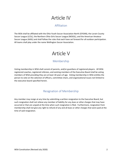# Article IV

### Affiliation

The WSA shall be affiliated with the Ohio Youth Soccer Association North (OYSAN), the Lorain County Soccer League (LCSL), the Northern Ohio Girls Soccer League (NOGSL), and the American Amateur Soccer League (AASL) and shall follow the rules that each have set forward for all outdoor participation. All teams shall play under the name Wellington Soccer Association.

# Article V

# Membership

Voting membership in WSA shall consist of parents, and/or guardians of registered players. All WSA registered coaches, registered referees, and existing members of the Executive Board shall be voting members of WSA providing they are at least 18 years of age. Voting membership in WSA entitles the person to vote on the selection of officers, committee chairs, and organizational issues not limited to the executive board specified herein.

### Resignation of Membership

Any member may resign at any time by submitting a written resignation to the Executive Board, but such resignation shall not relieve any member of liability for any dues or other charges that may have occurred or that are unpaid at the time when such resignation is filed. Furthermore, resignation from membership shall not give any right to refund of any and all dues or other charges that were paid at the time of said resignation.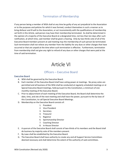### Termination of Membership

If any person being a member of WSA shall at any time be guilty of any act prejudicial to the Association or to the purposes and policies for which it was formed, conduct themselves in such a manner as to bring disfavor and ill-will to the Association, or act inconsistently with the qualifications of membership set forth in this Article, said person may have their membership terminated. As shall be determined in the opinion of a majority of the Executive Board at a designated time, not less than ten days after such notification, at which time, said member shall be given a hearing. Only by two-thirds vote of all of the Executive Board members present at said meeting may the membership of such person be terminated. Such termination shall not relieve any member from the liability for any dues or other charges that have occurred or that are unpaid at the time when such termination is effective. Furthermore, termination from membership shall not give any right to refund of any dues or other charges that were paid at the time of said termination.

# Article VI

#### Officers – Executive Board

#### Executive Board

- A. WSA shall be governed by the Executive Board.
- B. Each member of the Executive Board shall have voting power at meetings. No proxy votes are permitted and all business of the WSA shall be conducted at regularly scheduled meetings or at Special Executive Board meetings, held pursuant to this Constitution, a minimum of one monthly meeting of the Executive Board.
- C. Prior to adjournment of each meeting of the Executive Board, the Board shall determine the date, time, and site of the next meeting and shall have the power, pursuant to the by-laws of this Constitution, to call Special Executive Board Meetings.
- D. Membership on the Executive Board consists of:
	- 1. President
	- 2. Vice-President
	- 3. Secretary
	- 4. Treasurer
	- 5. Registrar
	- 6. Sportsmanship Director
	- 7. Coaching Director
	- 8. In-House Director
- E. A quorum of the Executive Board shall consist of two-thirds of its members and the Board shall do business by majority vote of the members present.
- F. By-Laws shall be established by the Executive Board.
- G. The Executive Board shall have authority to create any and all Support Service Committees deemed necessary and shall determine the extent of the authority of said committees.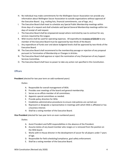- H. No individual may make commitments for the Wellington Soccer Association nor provide any information about Wellington Soccer Association to outside organizations without approval of the Executive Board. (e.g. mailing lists, financial commitments, use of logo, etc.)
- I. The Executive Board shall meet to schedule any Special Public Membership meetings within three days of a request and shall schedule said Special General Membership meetings within ten days of receipt of said request.
- J. The Executive Board shall be empowered except where restricted by Law to contract for any services required by the League.
- K. WSA income shall be used for operating expenses. All expenditures in excess of \$50.00 to any member of the Executive Board must be approved by two-thirds of the Board.
- L. Any expenditure of funds over and above budgeted levels shall be approved by two-thirds of the Executive Board.
- M. The Executive Board shall recommend to the membership passage or rejection of any proposal pursuant to Termination of Membership or Changes in Articles.
- N. The Executive Board shall approve or reject the nomination of any Chairperson of any Support Services Committee.
- O. The Executive Board shall have no power to take any action not specified in this Constitution.

#### **Officers**

**President** (elected for two year term on odd numbered years)

Duties:

- A. Responsible for overall management of WSA.
- B. Presides over meetings of the board and general membership.
- C. Serves as ex-officio member of all committees.
- D. Appoints special committees as needed.
- E. Provide policy direction for WSA.
- F. Establishes administrative procedures to ensure club policies are carried out.
- G. Represent or designate a representative in meetings with which WSA is affiliated or has a business interest.
- H. Shall be a voting member of the Executive Board.

**Vice President** (elected for two year term on even numbered years)

Duties:

- A. Assist President and fulfill responsibilities in the absence of the President.
- B. Assume duties of any board member who resigns or is removed from the position on the WSA board.
- C. Works with In-House director in the development of soccer for all players under 7 years of age.
- D. Responsible for field scheduling/compliance, goal safety enforcement.
- E. Shall be a voting member of the Executive Board.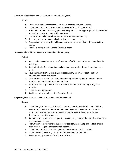**Treasurer** (elected for two year term on even numbered years)

Duties:

- A. Serves as chief financial officer of WSA with responsibility for all funds.
- B. Maintain records for all income and expenses authorized by the Board.
- C. Prepare financial records using generally accepted accounting principles to be presented at Board and general membership meetings.
- D. Present an annual financial statement to the general membership.
- E. Recommend fees for league play based on projected costs.
- F. Responsible for insuring that all federal and state forms are filed in the specific time frames.
- G. Shall be a voting member of the Executive Board.

**Secretary** (elected for two year term on odd numbered years)

Duties:

- A. Record minutes and attendance of meetings of WSA Board and general membership meetings.
- B. Send minutes to Board members no later than two weeks after each meeting, via E-Mail.
- C. Have charge of this Constitution, and responsibility for timely updating of any amendments to the document.
- D. Keep current record of Association membership containing names, address, phone numbers, and e-mail address when possible.
- E. Assists the Publicity Director in the dissemination of information regarding WSA activities.
- F. Prepares meeting agendas.
- G. Shall be a voting member of the Executive Board.

**Registrar** (elected to a two year term on even numbered years)

Duties:

- A. Maintain registration records for all players and coaches within WSA and affiliates.
- B. Shall set up and chair a committee to handle registration, set dates and times for registration, and set registration deadlines that provide sufficient time to meet deadlines set by affiliate leagues.
- C. Submit list of eligible players, separated by age and gender, to the rostering committee for rostering of teams.
- D. Submit team commitments to the appropriate leagues in the Spring and Fall of each year, by each league's predetermined deadlines.
- E. Maintain record of all Risk Management (Kidsafe) forms for all coaches.
- F. Maintain current licensing information for all coaches within WSA.
- G. Shall be a voting member of the Executive Board.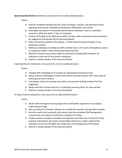#### **Sportsmanship Director** (elected to a two year term on odd numbered years)

Duties:

- A. Field all complaints dealing with the action of players, coaches, and spectators (from opposing communities included) participating in WSA games and events.
- B. Investigate any claims of misconduct pertaining to any player, coach, or spectator involved in WSA play within 7 days of complaint.
- C. Present all findings to the WSA board within 10 days, with any pertinent documentation for judgement and decision by the Executive Board.
- D. Inform all parties involved in the dispute , of WSA Executive Board findings in any disciplinary actions.
- E. Notify any individual, in writing via USPS certified mail, in the event of Disciplinary action or suspension within 7 days of Executive Board decision.
- F. Maintain records of any actions taken by the board involving WSA members for reference in the even of any further complaints.
- G. Shall be a voting member of the Executive Board.

Coaching Director (elected to a two year term on even numbered years)

#### Duties:

- A. Charged with scheduling of all coaches for appropriate licensing courses.
- B. Keeps records of Wellington coaches who attend licensing courses, with name, date of licensing and level of license.
- C. Investigates claims of coaching misconduct and presents findings to Board for final judgement.
- D. Works with the In-House director in conducting coaching clinics for new coaches.
- E. Shall be a voting member of the Executive Board.

In-House Director (elected to a two year term on odd numbered years)

Duties:

- A. Works with the Registrar during registration and handles registration of all players under 8 years of age.
- B. Sets up rosters for all teams, taking in to consideration gender and age when possible.
- C. Recruits coaches and assistants and ensures that they complete Risk Management requirements and submits certificates to Registrar for filing.
- D. Creates practice and game schedules ensuring that each team has a minimum of two practices and 8 games per season and provides electronic or paper copies of the schedules to the Vice President two weeks prior to the beginning of the season.
- E. Shall be a voting member of the Executive Board.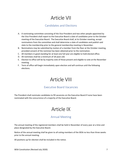# Article VII

### Candidates and Elections

- A. A nominating committee consisting of the Vice President and two other people appointed by the Vice President shall report to the Executive Board a slate of candidates prior to the October meeting of the Executive Board. The Executive Board shall, at its October meeting, accept nominations from the committee and shall determine a slate of candidates and publish said slate to the membership prior to the general membership meeting in November.
- B. Nominations may be submitted by motion of a member from the floor at the October meeting, provided consent of the nominee has been obtained prior to the nomination.
- C. All members in good standing for at least one full year are eligible to hold elected office.
- D. All nominees shall be a minimum of 18 years old.
- E. Election to office will be by majority vote of those present and eligible to vote at the November meeting.
- F. Term of office will begin immediately upon election and will continue until the following elections.

# Article VIII

### Executive Board Vacancies

The President shall nominate candidates to fill vacancies on the Executive Board if none have been nominated with the concurrence of a majority of the Executive Board.

# Article IX

### Annual Meeting

The annual meeting of the registered members shall be held in November of every year at a time and place designated by the Executive Board.

Notice of the annual meeting shall be given to all voting members of the WSA no less than three weeks prior to the annual meeting.

All positions up for election shall be included in the notice.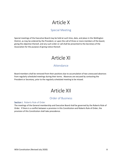# Article X

### Special Meeting

Special meetings of the Executive Board may be held at such time, date, and place in the Wellington District, as may be ordered by the President, or upon the call of three or more members of the board, giving the objective thereof, and any such order or call shall be presented to the Secretary of the Association for the purpose of giving notice thereof.

# Article XI

### Attendance

Board members shall be removed from their positions due to accumulation of two unexcused absences from regularly scheduled meetings during their terms. Absences are excused by contacting the President or Secretary, prior to the regularly scheduled meeting to be missed.

# Article XII

### Order of Business

#### Section I. Roberts Rule of Order

The meetings of the General membership and Executive Board shall be governed by the Roberts Rule of Order. If there is a conflict between a provision in this Constitution and Roberts Rule of Order, the provision of this Constitution shall take precedence.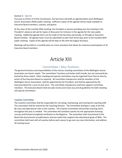#### Section II. Agenda

Pursuant to Article VI of this Constitution, the Secretary will draft an agenda before each Wellington Soccer Association (WSA) public meeting. Sufficient copies of the agenda will be made available to Executive Board members, coaches, and guests.

At the close of the monthly WSA meeting, the President or person presiding over the meeting in the President's absence will ask for topics of discussion for inclusion in the agenda for the next public meeting. Additional agenda items can be made to the Secretary personally, or through an Executive Board member. All agenda items must be submitted no later than three days prior to the monthly WSA public meeting. Copies of the agenda will be kept on file with the league Secretary.

Meetings will be held on a monthly basis at a time and place that allows for maximum participation of all Executive Board members.

# Article XIII

#### Committees / Misc Positions

The general functions and responsibilities of the various standing committees of the Wellington Soccer Association are herein stated. The committees' functions and duties shall include, but not necessarily be limited by those stated. Other standing and special committees may be organized from time to time by action of the Executive Board as required. All committee chairpersons shall be members of the Wellington Soccer Association, shall be appointed by the President, and shall be approved by the Executive Board for a one (1) year term. The committee chairpersons shall then appoint committee members. The Executive Board shall annually review and revise any and all guidelines for both standing and special committees.

#### Coaches Committee

The Coaches Committee shall be responsible for recruiting, maintaining, and training the coaching staff. The committee shall be chaired by the Coaching Director. The Committee shall give a copy of all Club By-Laws and Operational rules to the coaches. The Coaches Committee will provide coaching clinics throughout the year as needed. The committee will schedule coaches for the appropriate licensing courses and forward completed certificates to the Registrar. The committee shall recommend to the Board the procurement of publications and any media that supports the educational goals of WSA. The committee shall meet with all coaches before each season to go over any new information, and address all training issues.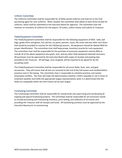#### Uniform Committee

The Uniforms Committee shall be responsible for all WSA owned uniforms and shall act as the Club purchasing agent for such uniforms. When needed, the committee shall obtain at least three (3) bids for uniforms, which shall be submitted to the Executive Board for approval. The committee chair will maintain an inventory of uniforms for the players, fill orders, collect monies and submit to Treasurer.

#### Fields/Equipment Committee

The Fields/Equipment Committee shall be responsible for the following equipment of WSA: balls, ball bags, goalie shirts and gloves, first aid kits, ice packs, pennies, cones, flat cones and any other such items that would be provided to coaches for the Fall/Spring seasons. All equipment should be labeled WSA for proper identification. The committee chair shall keep proper inventory records for such equipment. The committee chair shall be responsible for the purchase of necessary equipment used by WSA to include all of the above equipment plus goals, nets, and any other field equipment deemed necessary. All purchases must be approved by the Executive Board with copies of receipts and packing slips provided to the Treasurer. All ball bags, once assigned, will be required to be signed for by the accepting coach.

The Fields/Equipment Committee shall be responsible for all soccer fields, foals, nets, and goal accessories. They will ensure that all nets are removed at the end of the Fall season and installed before practices start in the Spring. The committee chair is responsible to schedule practices and resolve time/space conflicts. The chair will make the determination whether a field is playable or not in times of inclement weather and notify the appropriate league representatives when it is determined that the fields are unplayable within the time frames set by each league.

#### Fundraising Committee

The Fundraising Committee shall be responsible for raising funds and supervising and coordinating all ongoing and special fundraising projects. The committee shall be responsible for all concession stands to include purchasing and maintaining inventory, price setting, and collection of all monies and providing the Treasurer with all receipts and funds. All fundraising activities must be approved by the Executive Board prior to commencing.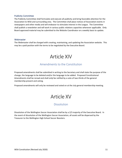#### Publicity Committee

The Publicity Committee shall formulate and execute all publicity and bring favorable attention for the Association to WSA and surrounding area. The Committee shall place notices of Association events in newspapers and other media and will endeavor to stimulate interest in the League. The Committee shall publish a newsletter and will work in various public relations capacities whenever applicable. Only Board approved material may be submitted to the Website Coordinator on a weekly basis to update.

#### **Webmaster**

The Webmaster shall be charged with creating, maintaining, and updating the Association website. This may be a paid position with the terms to be negotiated by the Executive Board.

# Article XIV

### Amendments to the Constitution

Proposed amendments shall be submitted in writing to the Secretary and shall state the purpose of the change, the language to be deleted and/or the language to be added. Proposed Constitutional Amendments shall be reread and shall onlyl be ratified by a vote of two-thirds of the general membership present and voting.

Proposed amendments will only be reviewed and voted on at the July general membership meeting.

# Article XV

#### **Dissolution**

Dissolution of the Wellington Soccer Association shall be by a 2/3 majority of the Executive Board. In the event of dissolution of the Wellington Soccer Association, all assets will be dispersed by the Treasurer to the Wellington High School Soccer Boosters.